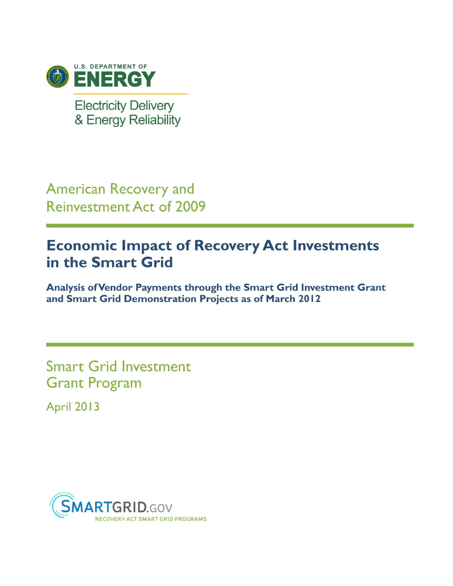

**Electricity Delivery** & Energy Reliability

**American Recovery and Reinvestment Act of 2009** 

# **Economic Impact of Recovery Act Investments** in the Smart Grid

Analysis of Vendor Payments through the Smart Grid Investment Grant and Smart Grid Demonstration Projects as of March 2012

**Smart Grid Investment Grant Program April 2013** 

**SMARTGRID.GOV** 

**T GRID PROGRAMS**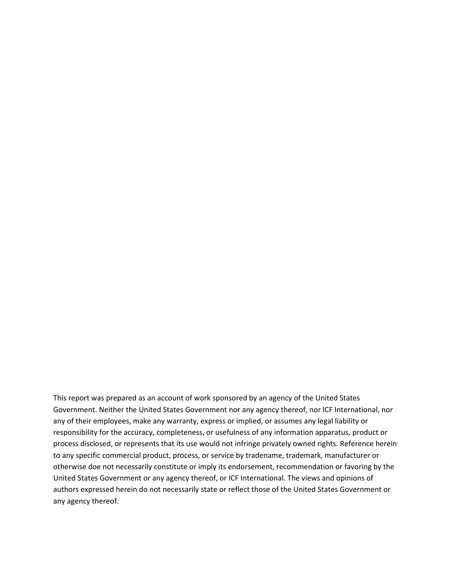This report was prepared as an account of work sponsored by an agency of the United States Government. Neither the United States Government nor any agency thereof, nor ICF International, nor any of their employees, make any warranty, express or implied, or assumes any legal liability or responsibility for the accuracy, completeness, or usefulness of any information apparatus, product or process disclosed, or represents that its use would not infringe privately owned rights. Reference herein to any specific commercial product, process, or service by tradename, trademark, manufacturer or otherwise doe not necessarily constitute or imply its endorsement, recommendation or favoring by the United States Government or any agency thereof, or ICF International. The views and opinions of authors expressed herein do not necessarily state or reflect those of the United States Government or any agency thereof.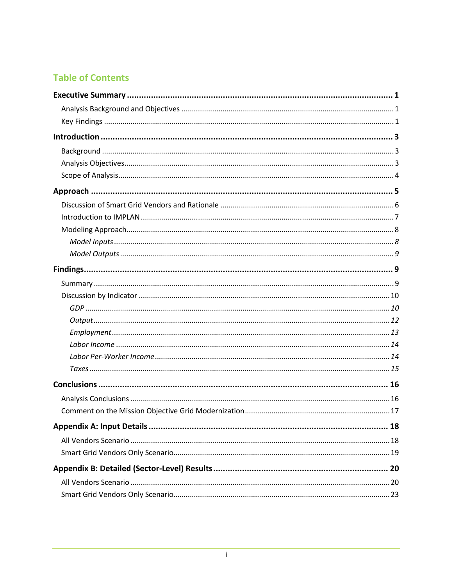# **Table of Contents**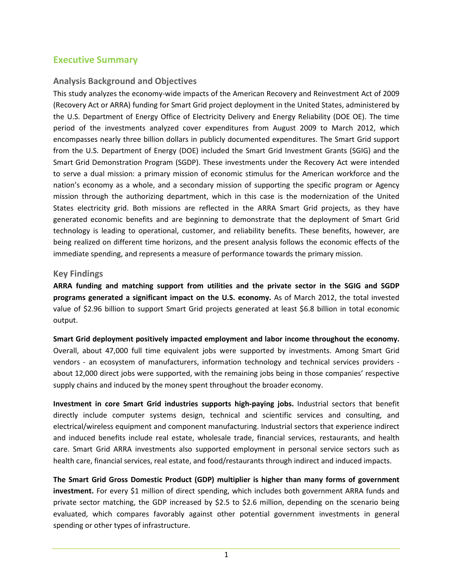## **Executive Summary**

## **Analysis Background and Objectives**

This study analyzes the economy-wide impacts of the American Recovery and Reinvestment Act of 2009 (Recovery Act or ARRA) funding for Smart Grid project deployment in the United States, administered by the U.S. Department of Energy Office of Electricity Delivery and Energy Reliability (DOE OE). The time period of the investments analyzed cover expenditures from August 2009 to March 2012, which encompasses nearly three billion dollars in publicly documented expenditures. The Smart Grid support from the U.S. Department of Energy (DOE) included the Smart Grid Investment Grants (SGIG) and the Smart Grid Demonstration Program (SGDP). These investments under the Recovery Act were intended to serve a dual mission: a primary mission of economic stimulus for the American workforce and the nation's economy as a whole, and a secondary mission of supporting the specific program or Agency mission through the authorizing department, which in this case is the modernization of the United States electricity grid. Both missions are reflected in the ARRA Smart Grid projects, as they have generated economic benefits and are beginning to demonstrate that the deployment of Smart Grid technology is leading to operational, customer, and reliability benefits. These benefits, however, are being realized on different time horizons, and the present analysis follows the economic effects of the immediate spending, and represents a measure of performance towards the primary mission.

#### **Key Findings**

**ARRA funding and matching support from utilities and the private sector in the SGIG and SGDP programs generated a significant impact on the U.S. economy.** As of March 2012, the total invested value of \$2.96 billion to support Smart Grid projects generated at least \$6.8 billion in total economic output.

**Smart Grid deployment positively impacted employment and labor income throughout the economy.** Overall, about 47,000 full time equivalent jobs were supported by investments. Among Smart Grid vendors - an ecosystem of manufacturers, information technology and technical services providers about 12,000 direct jobs were supported, with the remaining jobs being in those companies' respective supply chains and induced by the money spent throughout the broader economy.

**Investment in core Smart Grid industries supports high-paying jobs.** Industrial sectors that benefit directly include computer systems design, technical and scientific services and consulting, and electrical/wireless equipment and component manufacturing. Industrial sectors that experience indirect and induced benefits include real estate, wholesale trade, financial services, restaurants, and health care. Smart Grid ARRA investments also supported employment in personal service sectors such as health care, financial services, real estate, and food/restaurants through indirect and induced impacts.

**The Smart Grid Gross Domestic Product (GDP) multiplier is higher than many forms of government investment.** For every \$1 million of direct spending, which includes both government ARRA funds and private sector matching, the GDP increased by \$2.5 to \$2.6 million, depending on the scenario being evaluated, which compares favorably against other potential government investments in general spending or other types of infrastructure.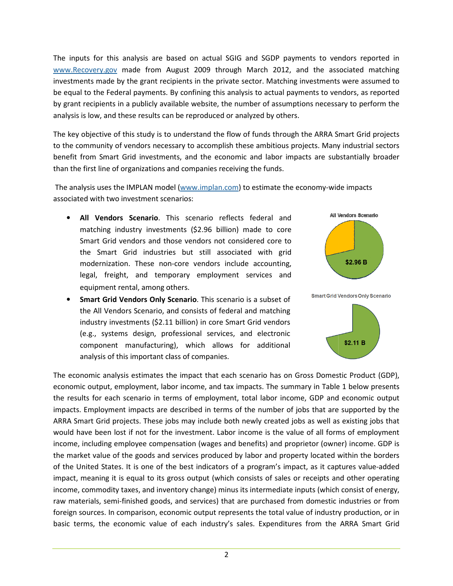The inputs for this analysis are based on actual SGIG and SGDP payments to vendors reported in www.Recovery.gov made from August 2009 through March 2012, and the associated matching investments made by the grant recipients in the private sector. Matching investments were assumed to be equal to the Federal payments. By confining this analysis to actual payments to vendors, as reported by grant recipients in a publicly available website, the number of assumptions necessary to perform the analysis is low, and these results can be reproduced or analyzed by others.

The key objective of this study is to understand the flow of funds through the ARRA Smart Grid projects to the community of vendors necessary to accomplish these ambitious projects. Many industrial sectors benefit from Smart Grid investments, and the economic and labor impacts are substantially broader than the first line of organizations and companies receiving the funds.

The analysis uses the IMPLAN model (www.implan.com) to estimate the economy-wide impacts associated with two investment scenarios:

- **•** All Vendors Scenario. This scenario reflects federal and matching industry investments (\$2.96 billion) made to core Smart Grid vendors and those vendors not considered core to the Smart Grid industries but still associated with grid modernization. These non-core vendors include accounting, legal, freight, and temporary employment services and equipment rental, among others.
- equipment rental, among others.<br> **Smart Grid Vendors Only Scenario**. This scenario is a subset of the All Vendors Scenario, and consists of federal and matching industry investments (\$2.11 billion) in core Smart Grid vendors (e.g., systems design, professional services, and electronic component manufacturing), which allows for additional analysis of this important class of companies.





analysis of this important class of companies.<br>The economic analysis estimates the impact that each scenario has on Gross Domestic Product economic output, employment, labor income, and tax impacts. The summary in Table 1 below presents the results for each scenario in terms of employment, total labor income, GDP and economic output impacts. Employment impacts are described in terms of the number of jobs that are supported by the impacts. Employment impacts are described in terms of the number of jobs that are supported by the<br>ARRA Smart Grid projects. These jobs may include both newly created jobs as well as existing jobs that would have been lost if not for the investment. Labor income is the value of all forms of employment income, including employee compensation (wages and benefits) and proprietor (owner) income. GDP is the market value of the goods and services produced by labor and property located within the borders of the United States. It is one of the best indicators of a program's impact, as it captures value-added impact, meaning it is equal to its gross output (which consists of sales or receipts and other operating income, commodity taxes, and inventory change) minus its intermediate inputs (which consist of energy, raw materials, semi-finished goods, and services) that are purchased from domestic industries or from foreign sources. In comparison, economic output represents the total value of industry production, or in basic terms, the economic value of each industry's sales. Expenditures from the ARRA Smart Grid rchased from domestic industries or from<br>he total value of industry production, or in<br>Expenditures from the ARRA Smart Grid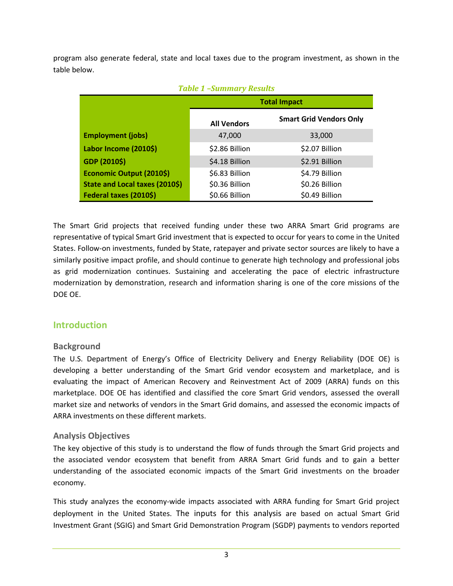program also generate federal, state and local taxes due to the program investment, as shown in the table below.

| $1$ upit 1 $\rightarrow$ ummur y Results |                    |                                |  |  |  |
|------------------------------------------|--------------------|--------------------------------|--|--|--|
|                                          |                    | <b>Total Impact</b>            |  |  |  |
|                                          | <b>All Vendors</b> | <b>Smart Grid Vendors Only</b> |  |  |  |
| <b>Employment (jobs)</b>                 | 47,000             | 33,000                         |  |  |  |
| Labor Income (2010\$)                    | \$2.86 Billion     | \$2.07 Billion                 |  |  |  |
| GDP (2010\$)                             | \$4.18 Billion     | \$2.91 Billion                 |  |  |  |
| Economic Output (2010\$)                 | \$6.83 Billion     | \$4.79 Billion                 |  |  |  |
| State and Local taxes (2010\$)           | \$0.36 Billion     | \$0.26 Billion                 |  |  |  |
| Federal taxes (2010\$)                   | \$0.66 Billion     | \$0.49 Billion                 |  |  |  |

#### *Table 1 –Summary Results*

The Smart Grid projects that received funding under these two ARRA Smart Grid programs are representative of typical Smart Grid investment that is expected to occur for years to come in the United States. Follow-on investments, funded by State, ratepayer and private sector sources are likely to have a similarly positive impact profile, and should continue to generate high technology and professional jobs as grid modernization continues. Sustaining and accelerating the pace of electric infrastructure modernization by demonstration, research and information sharing is one of the core missions of the DOE OE.

## **Introduction**

## **Background**

The U.S. Department of Energy's Office of Electricity Delivery and Energy Reliability (DOE OE) is developing a better understanding of the Smart Grid vendor ecosystem and marketplace, and is evaluating the impact of American Recovery and Reinvestment Act of 2009 (ARRA) funds on this marketplace. DOE OE has identified and classified the core Smart Grid vendors, assessed the overall market size and networks of vendors in the Smart Grid domains, and assessed the economic impacts of ARRA investments on these different markets.

## **Analysis Objectives**

The key objective of this study is to understand the flow of funds through the Smart Grid projects and the associated vendor ecosystem that benefit from ARRA Smart Grid funds and to gain a better understanding of the associated economic impacts of the Smart Grid investments on the broader economy.

This study analyzes the economy-wide impacts associated with ARRA funding for Smart Grid project deployment in the United States. The inputs for this analysis are based on actual Smart Grid Investment Grant (SGIG) and Smart Grid Demonstration Program (SGDP) payments to vendors reported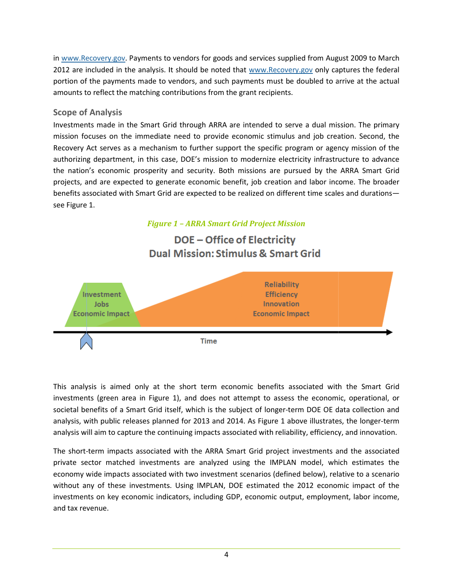in www.Recovery.gov. Payments to vendors for goods and services supplied from August 2009 to March 2012 are included in the analysis. It should be noted that www.Recovery.gov only captures the federal portion of the payments made to vendors, and such payments must be doubled to arrive at the actual amounts to reflect the matching contributions from the grant recipients.

## **Scope of Analysis**

amounts to reflect the matching contributions from the grant recipients.<br>Scope of Analysis<br>Investments made in the Smart Grid through ARRA are intended to serve a dual mission. The primary mission focuses on the immediate need to provide economic stimulus and job creation. Second, the Recovery Act serves as a mechanism to further support the specific program or agency mission of the authorizing department, in this case, DOE's mission to modernize electricity infrastructure to advance the nation's economic prosperity and security. Both missions are pursued by the ARRA Smart Grid projects, and are expected to generate economic benefit, job creation and labor income. The broader benefits associated with Smart Grid are expected to be realized on different time scales and durationssee Figure 1.

## *Figure 1 – ARRA Smart Grid Project Mission*

# **DOE - Office of Electricity Dual Mission: Stimulus & Smart Grid**



This analysis is aimed only at the short term economic benefits associated with the Smart Grid investments (green area in Figure 1), and does not attempt to assess the economic, operational, or societal benefits of a Smart Grid itself, which is the subject of longer-term DOE OE data collection and analysis, with public releases planned for 2013 and 2014. As Figure 1 above illustrates, the longer-term analysis will aim to capture the continuing impacts associated with reliability, efficiency, and innovation.

The short-term impacts associated with the ARRA Smart Grid project investments and the associated private sector matched investments are analyzed using the IMPLAN model, which estimates the economy wide impacts associated with two investment scenarios (defined below), relative to a scenario without any of these investments. Using IMPLAN, DOE estimated the 2012 economic impact of the investments on key economic indicators, including GDP, economic output, employment, labor income, and tax revenue.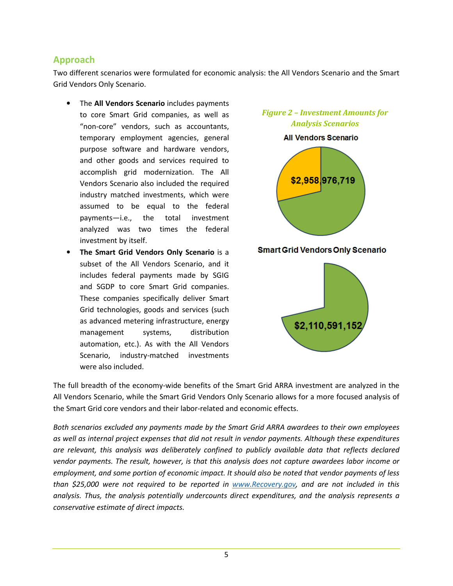## **Approach**

Two different scenarios were formulated for economic analysis: the All Vendors Scenario and the Smart Grid Vendors Only Scenario.

- The **All Vendors Scenario** includes payments to core Smart Grid companies, as well as "non-core" vendors, such as accountants, temporary employment agencies, general purpose software and hardware vendors, and other goods and services required to accomplish grid modernization. The All Vendors Scenario also included the required industry matched investments, which were assumed to be equal to the federal payments—i.e., the total investment analyzed was two times the federal investment by itself.
- **The Smart Grid Vendors Only Scenario** is a subset of the All Vendors Scenario, and it includes federal payments made by SGIG and SGDP to core Smart Grid companies. These companies specifically deliver Smart Grid technologies, goods and services (such as advanced metering infrastructure, energy management systems, distribution automation, etc.). As with the All Vendors Scenario, industry-matched investments were also included.



The full breadth of the economy-wide benefits of the Smart Grid ARRA investment are analyzed in the All Vendors Scenario, while the Smart Grid Vendors Only Scenario allows for a more focused analysis of the Smart Grid core vendors and their labor-related and economic effects.

*Both scenarios excluded any payments made by the Smart Grid ARRA awardees to their own employees as well as internal project expenses that did not result in vendor payments. Although these expenditures are relevant, this analysis was deliberately confined to publicly available data that reflects declared vendor payments. The result, however, is that this analysis does not capture awardees labor income or employment, and some portion of economic impact. It should also be noted that vendor payments of less than \$25,000 were not required to be reported in www.Recovery.gov, and are not included in this analysis. Thus, the analysis potentially undercounts direct expenditures, and the analysis represents a conservative estimate of direct impacts.*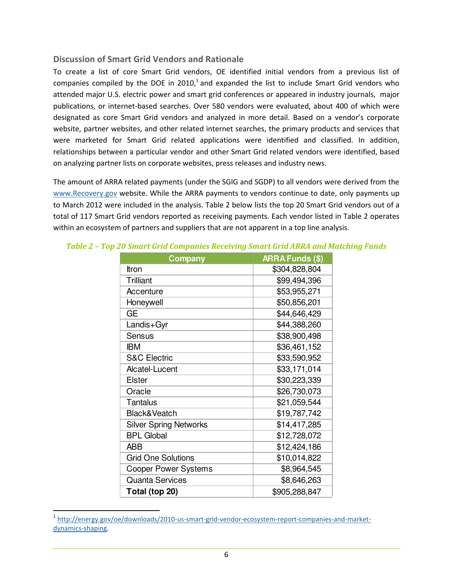#### **Discussion of Smart Grid Vendors and Rationale**

To create a list of core Smart Grid vendors, OE identified initial vendors from a previous list of companies compiled by the DOE in  $2010<sup>1</sup>$  and expanded the list to include Smart Grid vendors who attended major U.S. electric power and smart grid conferences or appeared in industry journals, major publications, or internet-based searches. Over 580 vendors were evaluated, about 400 of which were designated as core Smart Grid vendors and analyzed in more detail. Based on a vendor's corporate website, partner websites, and other related internet searches, the primary products and services that were marketed for Smart Grid related applications were identified and classified. In addition, relationships between a particular vendor and other Smart Grid related vendors were identified, based on analyzing partner lists on corporate websites, press releases and industry news.

The amount of ARRA related payments (under the SGIG and SGDP) to all vendors were derived from the www.Recovery.gov website. While the ARRA payments to vendors continue to date, only payments up to March 2012 were included in the analysis. Table 2 below lists the top 20 Smart Grid vendors out of a total of 117 Smart Grid vendors reported as receiving payments. Each vendor listed in Table 2 operates within an ecosystem of partners and suppliers that are not apparent in a top line analysis.

| <b>Company</b>                | <b>ARRA Funds (\$)</b> |
|-------------------------------|------------------------|
| Itron                         | \$304,828,804          |
| Trilliant                     | \$99,494,396           |
| Accenture                     | \$53,955,271           |
| Honeywell                     | \$50,856,201           |
| <b>GE</b>                     | \$44,646,429           |
| Landis+Gyr                    | \$44,388,260           |
| <b>Sensus</b>                 | \$38,900,498           |
| <b>IBM</b>                    | \$36,461,152           |
| <b>S&amp;C Electric</b>       | \$33,590,952           |
| Alcatel-Lucent                | \$33,171,014           |
| <b>Elster</b>                 | \$30,223,339           |
| Oracle                        | \$26,730,073           |
| <b>Tantalus</b>               | \$21,059,544           |
| Black&Veatch                  | \$19,787,742           |
| <b>Silver Spring Networks</b> | \$14,417,285           |
| <b>BPL Global</b>             | \$12,728,072           |
| <b>ABB</b>                    | \$12,424,186           |
| <b>Grid One Solutions</b>     | \$10,014,822           |
| <b>Cooper Power Systems</b>   | \$8,964,545            |
| <b>Quanta Services</b>        | \$8,646,263            |
| Total (top 20)                | \$905,288,847          |

#### *Table 2 – Top 20 Smart Grid Companies Receiving Smart Grid ARRA and Matching Funds*

<u>.</u>

<sup>1</sup> http://energy.gov/oe/downloads/2010-us-smart-grid-vendor-ecosystem-report-companies-and-marketdynamics-shaping.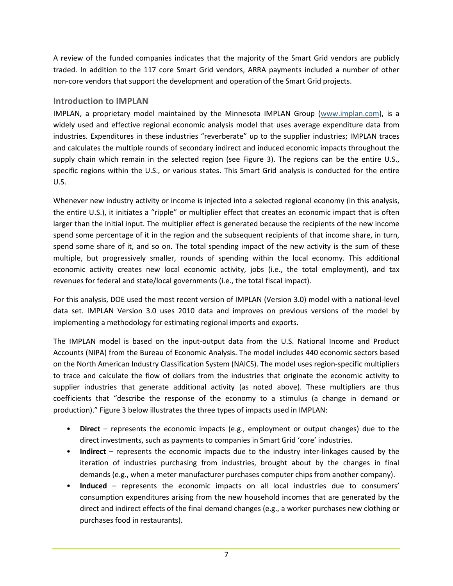A review of the funded companies indicates that the majority of the Smart Grid vendors are publicly traded. In addition to the 117 core Smart Grid vendors, ARRA payments included a number of other non-core vendors that support the development and operation of the Smart Grid projects.

## **Introduction to IMPLAN**

IMPLAN, a proprietary model maintained by the Minnesota IMPLAN Group (www.implan.com), is a widely used and effective regional economic analysis model that uses average expenditure data from industries. Expenditures in these industries "reverberate" up to the supplier industries; IMPLAN traces and calculates the multiple rounds of secondary indirect and induced economic impacts throughout the supply chain which remain in the selected region (see Figure 3). The regions can be the entire U.S., specific regions within the U.S., or various states. This Smart Grid analysis is conducted for the entire U.S.

Whenever new industry activity or income is injected into a selected regional economy (in this analysis, the entire U.S.), it initiates a "ripple" or multiplier effect that creates an economic impact that is often larger than the initial input. The multiplier effect is generated because the recipients of the new income spend some percentage of it in the region and the subsequent recipients of that income share, in turn, spend some share of it, and so on. The total spending impact of the new activity is the sum of these multiple, but progressively smaller, rounds of spending within the local economy. This additional economic activity creates new local economic activity, jobs (i.e., the total employment), and tax revenues for federal and state/local governments (i.e., the total fiscal impact).

For this analysis, DOE used the most recent version of IMPLAN (Version 3.0) model with a national-level data set. IMPLAN Version 3.0 uses 2010 data and improves on previous versions of the model by implementing a methodology for estimating regional imports and exports.

The IMPLAN model is based on the input-output data from the U.S. National Income and Product Accounts (NIPA) from the Bureau of Economic Analysis. The model includes 440 economic sectors based on the North American Industry Classification System (NAICS). The model uses region-specific multipliers to trace and calculate the flow of dollars from the industries that originate the economic activity to supplier industries that generate additional activity (as noted above). These multipliers are thus coefficients that "describe the response of the economy to a stimulus (a change in demand or production)." Figure 3 below illustrates the three types of impacts used in IMPLAN:

- **Direct** represents the economic impacts (e.g., employment or output changes) due to the direct investments, such as payments to companies in Smart Grid 'core' industries.
- **Indirect** represents the economic impacts due to the industry inter-linkages caused by the iteration of industries purchasing from industries, brought about by the changes in final demands (e.g., when a meter manufacturer purchases computer chips from another company).
- **Induced** represents the economic impacts on all local industries due to consumers' consumption expenditures arising from the new household incomes that are generated by the direct and indirect effects of the final demand changes (e.g., a worker purchases new clothing or purchases food in restaurants).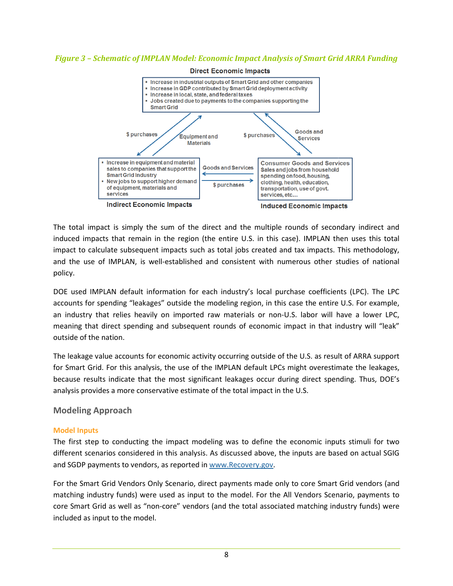#### *Figure 3 – Schematic of IMPLAN Model: Economic Impact Analysis of Smart Grid ARRA Funding Analysis*



The total impact is simply the sum of the direct and the multiple rounds of secondary indirect and induced impacts that remain in the region (the entire U.S. in this case). IMPLAN then uses this total impact to calculate subsequent impacts such as total jobs created and tax impacts. This methodology, and the use of IMPLAN, is well-established and consistent with numerous other studies of national policy.

DOE used IMPLAN default information for each industry's local purchase coefficients (LPC). The LPC accounts for spending "leakages" outside the modeling region, in this case the entire U.S. For example, accounts for spending "leakages" outside the modeling region, in this case the entire U.S. For example,<br>an industry that relies heavily on imported raw materials or non-U.S. labor will have a lower LPC, meaning that direct spending and subsequent rounds of economic impact in that industry will "leak" outside of the nation.

The leakage value accounts for economic activity occurring outside of the U.S. as result of ARRA support for Smart Grid. For this analysis, the use of the IMPLAN default LPCs might overestimate the leakages, because results indicate that the most significant leakages occur during direct spending. Thus, DOE's analysis provides a more conservative estimate of the total impact in the U.S. because results indicate that the most significant leakages occur during direct spending. Thus, DOE's<br>analysis provides a more conservative estimate of the total impact in the U.S.<br>Model Inputs<br>The first step to conducting

#### **Modeling Approach**

#### **Model Inputs**

different scenarios considered in this analysis. As discussed above, the inputs are based on actual SGIG and SGDP payments to vendors, as reported in www.Recovery.gov.

For the Smart Grid Vendors Only Scenario, direct payments made only to core Smart Grid vendors (and matching industry funds) were used as input to the model. For the All Vendors Scenario, payments to core Smart Grid as well as "non-core" vendors (and the total associated matching industry funds) were included as input to the model.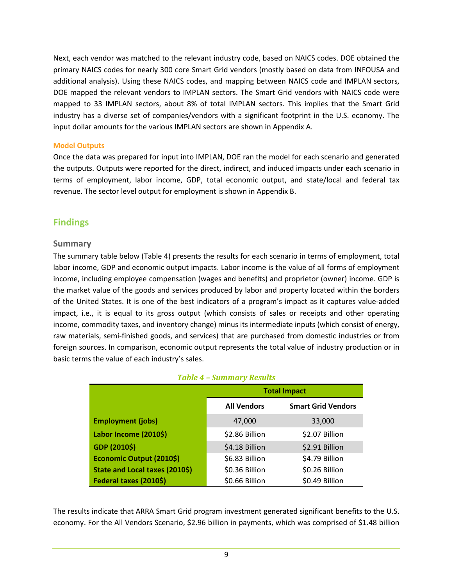Next, each vendor was matched to the relevant industry code, based on NAICS codes. DOE obtained the primary NAICS codes for nearly 300 core Smart Grid vendors (mostly based on data from INFOUSA and additional analysis). Using these NAICS codes, and mapping between NAICS code and IMPLAN sectors, DOE mapped the relevant vendors to IMPLAN sectors. The Smart Grid vendors with NAICS code were mapped to 33 IMPLAN sectors, about 8% of total IMPLAN sectors. This implies that the Smart Grid industry has a diverse set of companies/vendors with a significant footprint in the U.S. economy. The input dollar amounts for the various IMPLAN sectors are shown in Appendix A.

#### **Model Outputs**

Once the data was prepared for input into IMPLAN, DOE ran the model for each scenario and generated the outputs. Outputs were reported for the direct, indirect, and induced impacts under each scenario in terms of employment, labor income, GDP, total economic output, and state/local and federal tax revenue. The sector level output for employment is shown in Appendix B.

## **Findings**

#### **Summary**

The summary table below (Table 4) presents the results for each scenario in terms of employment, total labor income, GDP and economic output impacts. Labor income is the value of all forms of employment income, including employee compensation (wages and benefits) and proprietor (owner) income. GDP is the market value of the goods and services produced by labor and property located within the borders of the United States. It is one of the best indicators of a program's impact as it captures value-added impact, i.e., it is equal to its gross output (which consists of sales or receipts and other operating income, commodity taxes, and inventory change) minus its intermediate inputs (which consist of energy, raw materials, semi-finished goods, and services) that are purchased from domestic industries or from foreign sources. In comparison, economic output represents the total value of industry production or in basic terms the value of each industry's sales.

|  | <b>Table 4 - Summary Results</b> |  |
|--|----------------------------------|--|
|--|----------------------------------|--|

|                                       |                    | <b>Total Impact</b>       |
|---------------------------------------|--------------------|---------------------------|
|                                       | <b>All Vendors</b> | <b>Smart Grid Vendors</b> |
| <b>Employment (jobs)</b>              | 47,000             | 33,000                    |
| Labor Income (2010\$)                 | \$2.86 Billion     | \$2.07 Billion            |
| GDP (2010\$)                          | \$4.18 Billion     | \$2.91 Billion            |
| Economic Output (2010\$)              | \$6.83 Billion     | \$4.79 Billion            |
| <b>State and Local taxes (2010\$)</b> | \$0.36 Billion     | \$0.26 Billion            |
| Federal taxes (2010\$)                | \$0.66 Billion     | \$0.49 Billion            |

The results indicate that ARRA Smart Grid program investment generated significant benefits to the U.S. economy. For the All Vendors Scenario, \$2.96 billion in payments, which was comprised of \$1.48 billion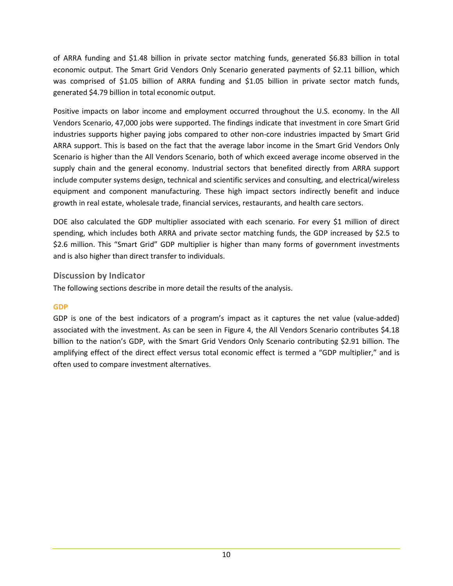of ARRA funding and \$1.48 billion in private sector matching funds, generated \$6.83 billion in total economic output. The Smart Grid Vendors Only Scenario generated payments of \$2.11 billion, which was comprised of \$1.05 billion of ARRA funding and \$1.05 billion in private sector match funds, generated \$4.79 billion in total economic output.

Positive impacts on labor income and employment occurred throughout the U.S. economy. In the All Vendors Scenario, 47,000 jobs were supported. The findings indicate that investment in core Smart Grid industries supports higher paying jobs compared to other non-core industries impacted by Smart Grid ARRA support. This is based on the fact that the average labor income in the Smart Grid Vendors Only Scenario is higher than the All Vendors Scenario, both of which exceed average income observed in the supply chain and the general economy. Industrial sectors that benefited directly from ARRA support include computer systems design, technical and scientific services and consulting, and electrical/wireless equipment and component manufacturing. These high impact sectors indirectly benefit and induce growth in real estate, wholesale trade, financial services, restaurants, and health care sectors.

DOE also calculated the GDP multiplier associated with each scenario. For every \$1 million of direct spending, which includes both ARRA and private sector matching funds, the GDP increased by \$2.5 to \$2.6 million. This "Smart Grid" GDP multiplier is higher than many forms of government investments and is also higher than direct transfer to individuals.

## **Discussion by Indicator**

The following sections describe in more detail the results of the analysis.

## **GDP**

GDP is one of the best indicators of a program's impact as it captures the net value (value-added) associated with the investment. As can be seen in Figure 4, the All Vendors Scenario contributes \$4.18 billion to the nation's GDP, with the Smart Grid Vendors Only Scenario contributing \$2.91 billion. The amplifying effect of the direct effect versus total economic effect is termed a "GDP multiplier," and is often used to compare investment alternatives.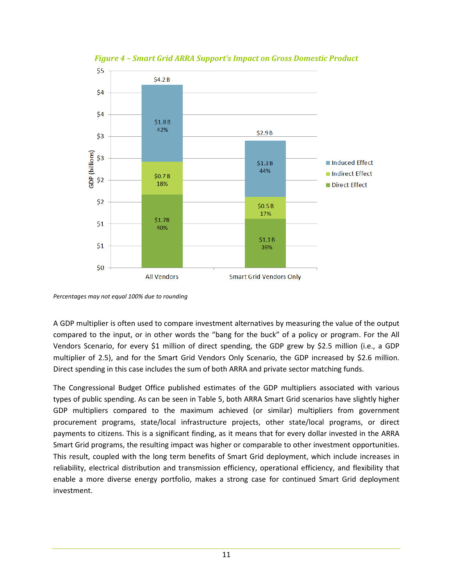

*Figure 4 – Smart Grid ARRA Support's Impact on Gross Domestic Product*

A GDP multiplier is often used to compare investment alternatives by measuring the value of the output compared to the input, or in other words the "bang for the buck" of a policy or program. For the All compared to the input, or in other words the "bang for the buck" of a policy or program. For the All<br>Vendors Scenario, for every \$1 million of direct spending, the GDP grew by \$2.5 million (i.e., a GDP multiplier of 2.5), and for the Smart Grid Vendors Only Scenario, the GDP increased by \$2.6 million. Direct spending in this case includes the sum of both ARRA and private sector matching funds.

The Congressional Budget Office published estimates of the GDP multipliers associated with various types of public spending. As can be seen in Table 5, both ARRA Smart Grid scenarios have slightly higher types of public spending. As can be seen in Table 5, both ARRA Smart Grid scenarios have slightly higher<br>GDP multipliers compared to the maximum achieved (or similar) multipliers from government procurement programs, state/local infrastructure projects, other state/local programs, or direct payments to citizens. This is a significant finding, as it means that for every dollar invested in the ARRA Smart Grid programs, the resulting impact was higher or comparable to other investment opportunities.<br>This result, coupled with the long term benefits of Smart Grid deployment, which include increases in This result, coupled with the long term benefits of Smart Grid deployment, which include increases in reliability, electrical distribution and transmission efficiency, operational efficiency, and flexibility that enable a more diverse energy portfolio, makes a strong case for continued Smart Grid deployment investment.

*Percentages may not equal 100% due to rounding*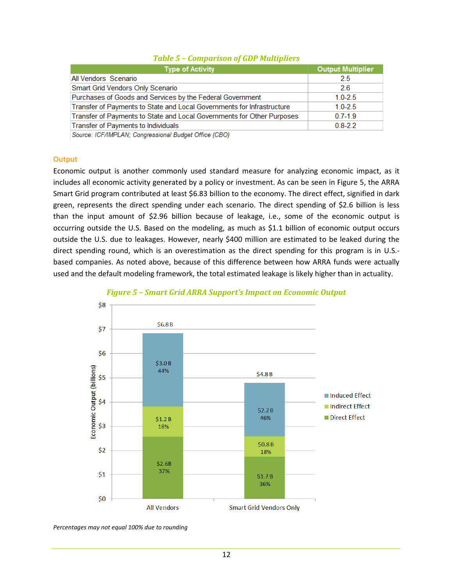| <b>Type of Activity</b>                                                | <b>Output Multiplier</b> |
|------------------------------------------------------------------------|--------------------------|
| All Vendors Scenario                                                   | 2.5                      |
| Smart Grid Vendors Only Scenario                                       | 26                       |
| Purchases of Goods and Services by the Federal Government              | $1.0 - 2.5$              |
| Transfer of Payments to State and Local Governments for Infrastructure | $1.0 - 2.5$              |
| Transfer of Payments to State and Local Governments for Other Purposes | $0.7 - 1.9$              |
| Transfer of Payments to Individuals                                    | $0.8 - 2.2$              |

#### *Table 5 – Comparison of GDP Multipliers*

Source: ICF/IMPLAN; Congressional Budget Office (CBO)

#### **Output**

Economic output is another commonly used standard measure for analyzing economic impact, as it includes all economic activity generated by a policy or investment. As can be seen in Figure 5, the ARRA Smart Grid program contributed at least \$6.83 billion to the economy. The direct effect, signified in dark green, represents the direct spending under each scenario. The direct spending of \$2.6 billion is less than the input amount of \$2.96 billion because of leakage, i.e., some of the economic output is occurring outside the U.S. Based on the modeling, as much as \$1.1 billion of economic output occurs<br>outside the U.S. due to leakages. However, nearly \$400 million are estimated to be leaked during the outside the U.S. due to leakages. However, nearly \$400 million are estimated to be leaked during the direct spending round, which is an overestimation as the direct spending for this program is in U.S.based companies. As noted above, because of this difference between how ARRA funds were actually used and the default modeling framework, the total estimated leakage is likely higher than in actuality.



#### *Figure 5 – Smart Grid ARRA Support's Impact on Grid Support's Impact on Economic Output Economic*

*Percentages may not equal 100% due to rounding*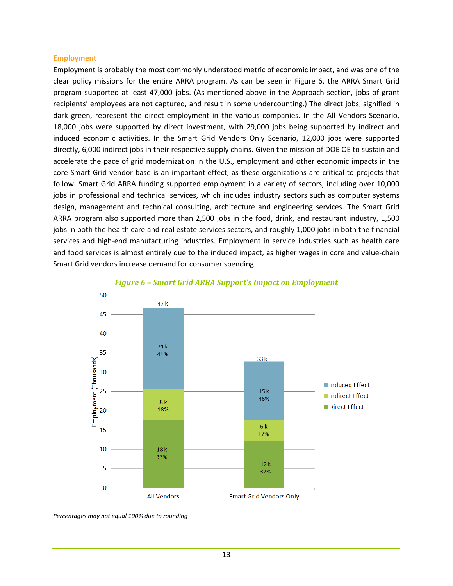#### **Employment**

Employment is probably the most commonly understood metric of economic impact, and was one of the clear policy missions for the entire ARRA program. As can be seen in Figure 6, the ARRA Smart Grid program supported at least 47,000 jobs. (As mentioned above in the Approach section, jobs of grant recipients' employees are not captured, and result in some undercounting.) The direct jobs, signified in dark green, represent the direct employment in the various companies. In the All Vendors Scenario, 18,000 jobs were supported by direct investment, with 29,000 jobs being supported by indirect and induced economic activities. In the Smart Grid Vendors Only Scenario, 12,000 jobs were supported directly, 6,000 indirect jobs in their respective supply chains. Given the mission of DOE OE to sustain and accelerate the pace of grid modernization in the U.S., employment and other economic impacts in the core Smart Grid vendor base is an important effect, as these organizations are critical to projects that follow. Smart Grid ARRA funding supported employment in a variety of sectors, including over 10,000 jobs in professional and technical services, which includes industry sectors such as computer systems design, management and technical consulting, architecture and engineering services. The Smart Grid ARRA program also supported more than 2,500 jobs in the food, drink, and restaurant industry, 1,500 jobs in both the health care and real estate services sectors, and roughly 1,000 jobs in both the financial services and high-end manufacturing industries. Employment in service industries such as health care services and high-end manufacturing industries. Employment in service industries such as health care<br>and food services is almost entirely due to the induced impact, as higher wages in core and value-chain Smart Grid vendors increase demand for consumer spending.



#### *Figure 6 – Smart Grid ARRA Support's Impact on Grid ARRA Support's Impact on Employment*

*Percentages may not equal 100% due to rounding*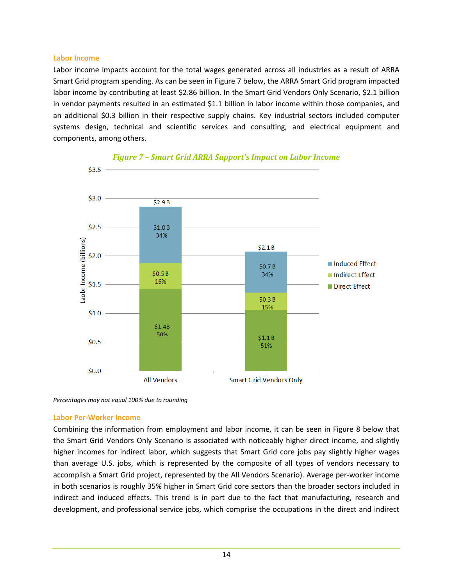#### **Labor Income**

Labor income impacts account for the total wages generated across all industries as a result of ARRA Smart Grid program spending. As can be seen in Figure 7 below, the ARRA Smart Grid program impacted labor income by contributing at least \$2.86 billion. In the Smart Grid Vendors Only Scenario, in vendor payments resulted in an estimated \$1.1 billion in labor income within those companies companies, and in vendor payments resulted in an estimated \$1.1 billion in labor income within those companies, and<br>an additional \$0.3 billion in their respective supply chains. Key industrial sectors included computer systems design, technical and scientific services and consulting, and electrical equipment and components, among others. r the total wages generated across all industries as a result of ARRA<br>can be seen in Figure 7 below, the ARRA Smart Grid program impacted<br>ast \$2.86 billion. In the Smart Grid Vendors Only Scenario, \$2.1 billion





*Percentages may not equal 100% due to rounding*

#### **Labor Per-Worker Income**

Combining the information from employment and labor income, it can be seen in Figure 8 below that the Smart Grid Vendors Only Scenario is associated with noticeably higher direct income, and slightly higher incomes for indirect labor, which suggests that Smart Grid core jobs pay slightly higher wages higher incomes for indirect labor, which suggests that Smart Grid core jobs pay slightly higher wages<br>than average U.S. jobs, which is represented by the composite of all types of vendors necessary to accomplish a Smart Grid project, represented by the All Vendors Scenario). Average per-worker income in both scenarios is roughly 35% higher in Smart Grid core sectors than the broader sectors included in indirect and induced effects. This trend is in part due to the fact that manufacturing, research and development, and professional service jobs, which comprise the occupations in the direct and indirect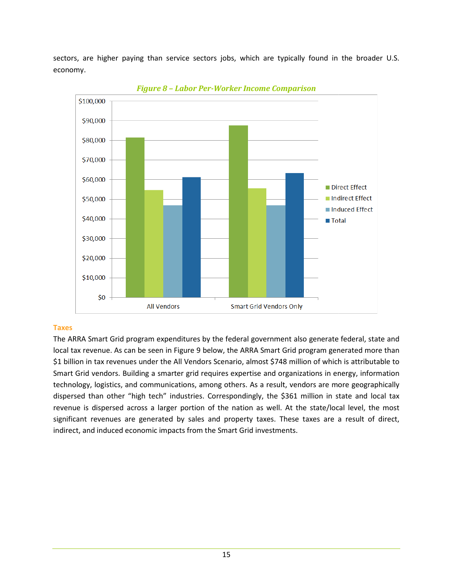sectors, are higher paying than service sectors jobs, which are typically found in the broader U.S. economy.



*Figure 8 – – Labor Per-Worker Income Comparison* 

#### **Taxes**

The ARRA Smart Grid program expenditures by the federal government also generate federal, state and local tax revenue. As can be seen in Figure 9 below, the ARRA Smart Grid program generated more than The ARRA Smart Grid program expenditures by the federal government also generate federal, state and<br>local tax revenue. As can be seen in Figure 9 below, the ARRA Smart Grid program generated more than<br>\$1 billion in tax rev Smart Grid vendors. Building a smarter grid requires expertise and organizations in energy, information Smart Grid vendors. Building a smarter grid requires expertise and organizations in energy, information<br>technology, logistics, and communications, among others. As a result, vendors are more geographically dispersed than other "high tech" industries. Correspondingly, the \$361 million in s revenue is dispersed across a larger portion of the nation as well. At the state/local level, the most significant revenues are generated by sales and property taxes. These taxes are a result of direct, indirect, and induced economic impacts from the Smart Grid investments. a result, vendors are more geographically<br>,, the \$361 million in state and local tax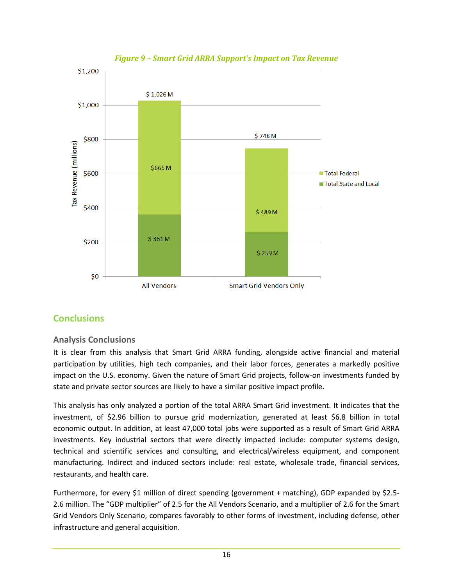

## **Figure 9 – Smart Grid ARRA Support's Impact on Tax Revenue**

## **Conclusions**

## **Analysis Conclusions**

It is clear from this analysis that Smart Grid ARRA funding, alongside active financial and material participation by utilities, high tech companies, and their labor forces, generates a markedly positive impact on the U.S. economy. Given the nature of Smart Grid projects, follow-on investments funded by state and private sector sources are likely to have a similar positive impact profile.

This analysis has only analyzed a portion of the total ARRA Smart Grid investment. It indicates that the investment, of \$2.96 billion to pursue grid modernization, generated at least \$6.8 billion in total economic output. In addition, at least 47,000 total jobs were supported as a result of Smart Grid ARRA investments. Key industrial sectors that were directly impacted include: computer systems design, technical and scientific services and consulting, and electrical/wireless equipment, and component manufacturing. Indirect and induced sectors include: real estate, wholesale trade, financial services, restaurants, and health care. It is clear from this analysis that Smart Grid ARRA funding, alongside active financial and material<br>participation by utilities, high tech companies, and their labor forces, generates a markedly positive<br>impact on the U.S.

Furthermore, for every \$1 million of direct spending (government + matching), GDP expanded by \$2.5-2.6 million. The "GDP multiplier" of 2.5 for the All Vendors Scenario, and a multiplier of 2.6 for the Smart Grid Vendors Only Scenario, compares favorably to other forms of investment, including defense, other infrastructure and general acquisition.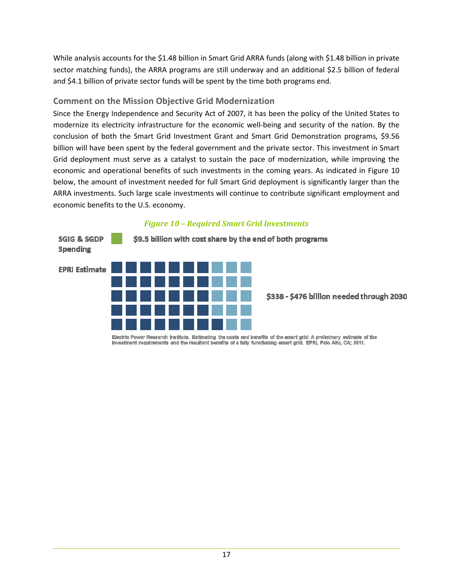While analysis accounts for the \$1.48 billion in Smart Grid ARRA funds (along with \$1.48 billion in private sector matching funds), the ARRA programs are still underway and an additional \$2.5 billion of federal and \$4.1 billion of private sector funds will be spent by the time both programs end.

## **Comment on the Mission Objective Grid Modernization**

Since the Energy Independence and Security Act of 2007, it has been the policy of the United States to United States to Since the Energy Independence and Security Act of 2007, it has been the policy of the United States to modernize its electricity infrastructure for the economic well-being and security of the nation. By the conclusion of both the Smart Grid Investment Grant and Smart Grid Demonstration programs, \$9.56 billion will have been spent by the federal government and the private sector. This investment in Smart Grid deployment must serve as a catalyst to sustain the pace of modernization, while improving the economic and operational benefits of such investments in the coming years. As indicated in Figure 10 below, the amount of investment needed for full Smart Grid deployment is significantly larger than the ARRA investments. Such large scale investments will continue to contribute significant employment and economic benefits to the U.S. economy. economy.

# **SGIG & SGDP** \$9.5 billion with cost share by the end of both programs Spending **EPRI Estimate** \$338 - \$476 billion needed through 2030

## *Figure 10 – Required Smart Grid Investments*

Electric Power Research Institute. Estimating the costs and benefits of the smart grid: A preliminary estimate of the investment requirements and the resultant benefits of a fully functioning smart grid. EPRI, Palo Alto, CA; 2011.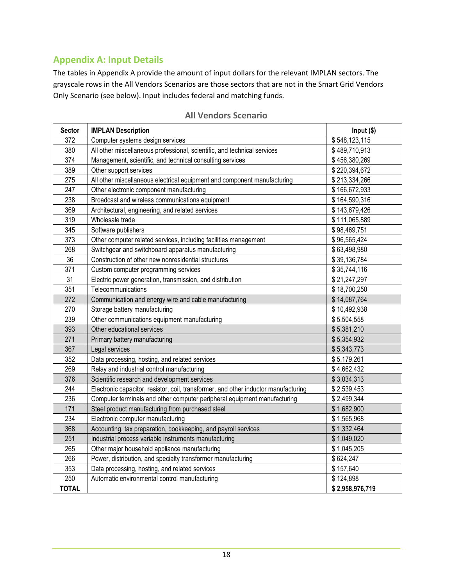# **Appendix A: Input Details**

The tables in Appendix A provide the amount of input dollars for the relevant IMPLAN sectors. The grayscale rows in the All Vendors Scenarios are those sectors that are not in the Smart Grid Vendors Only Scenario (see below). Input includes federal and matching funds.

| <b>Sector</b> | <b>IMPLAN Description</b>                                                           | Input (\$)      |
|---------------|-------------------------------------------------------------------------------------|-----------------|
| 372           | Computer systems design services                                                    | \$548,123,115   |
| 380           | All other miscellaneous professional, scientific, and technical services            | \$489,710,913   |
| 374           | Management, scientific, and technical consulting services                           | \$456,380,269   |
| 389           | Other support services                                                              | \$220,394,672   |
| 275           | All other miscellaneous electrical equipment and component manufacturing            | \$213,334,266   |
| 247           | Other electronic component manufacturing                                            | \$166,672,933   |
| 238           | Broadcast and wireless communications equipment                                     | \$164,590,316   |
| 369           | Architectural, engineering, and related services                                    | \$143,679,426   |
| 319           | Wholesale trade                                                                     | \$111,065,889   |
| 345           | Software publishers                                                                 | \$98,469,751    |
| 373           | Other computer related services, including facilities management                    | \$96,565,424    |
| 268           | Switchgear and switchboard apparatus manufacturing                                  | \$63,498,980    |
| 36            | Construction of other new nonresidential structures                                 | \$39,136,784    |
| 371           | Custom computer programming services                                                | \$35,744,116    |
| 31            | Electric power generation, transmission, and distribution                           | \$21,247,297    |
| 351           | Telecommunications                                                                  | \$18,700,250    |
| 272           | Communication and energy wire and cable manufacturing                               | \$14,087,764    |
| 270           | Storage battery manufacturing                                                       | \$10,492,938    |
| 239           | Other communications equipment manufacturing                                        | \$5,504,558     |
| 393           | Other educational services                                                          | \$5,381,210     |
| 271           | Primary battery manufacturing                                                       | \$5,354,932     |
| 367           | Legal services                                                                      | \$5,343,773     |
| 352           | Data processing, hosting, and related services                                      | \$5,179,261     |
| 269           | Relay and industrial control manufacturing                                          | \$4,662,432     |
| 376           | Scientific research and development services                                        | \$3,034,313     |
| 244           | Electronic capacitor, resistor, coil, transformer, and other inductor manufacturing | \$2,539,453     |
| 236           | Computer terminals and other computer peripheral equipment manufacturing            | \$2,499,344     |
| 171           | Steel product manufacturing from purchased steel                                    | \$1,682,900     |
| 234           | Electronic computer manufacturing                                                   | \$1,565,968     |
| 368           | Accounting, tax preparation, bookkeeping, and payroll services                      | \$1,332,464     |
| 251           | Industrial process variable instruments manufacturing                               | \$1,049,020     |
| 265           | Other major household appliance manufacturing                                       | \$1,045,205     |
| 266           | Power, distribution, and specialty transformer manufacturing                        | \$624,247       |
| 353           | Data processing, hosting, and related services                                      | \$157,640       |
| 250           | Automatic environmental control manufacturing                                       | \$124,898       |
| <b>TOTAL</b>  |                                                                                     | \$2,958,976,719 |

#### **All Vendors Scenario**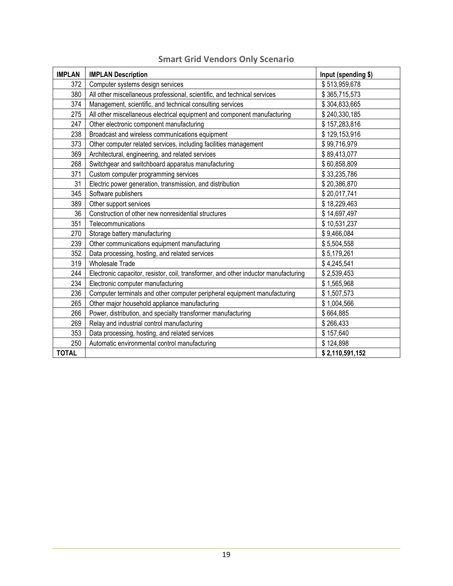| <b>IMPLAN</b> | <b>IMPLAN Description</b>                                                           | Input (spending \$) |
|---------------|-------------------------------------------------------------------------------------|---------------------|
| 372           | Computer systems design services                                                    | \$513,959,678       |
| 380           | All other miscellaneous professional, scientific, and technical services            | \$365,715,573       |
| 374           | Management, scientific, and technical consulting services                           | \$304,833,665       |
| 275           | All other miscellaneous electrical equipment and component manufacturing            | \$240,330,185       |
| 247           | Other electronic component manufacturing                                            | \$157,283,816       |
| 238           | Broadcast and wireless communications equipment                                     | \$129,153,916       |
| 373           | Other computer related services, including facilities management                    | \$99,716,979        |
| 369           | Architectural, engineering, and related services                                    | \$89,413,077        |
| 268           | Switchgear and switchboard apparatus manufacturing                                  | \$60,858,809        |
| 371           | Custom computer programming services                                                | \$33,235,786        |
| 31            | Electric power generation, transmission, and distribution                           | \$20,386,870        |
| 345           | Software publishers                                                                 | \$20,017,741        |
| 389           | Other support services                                                              | \$18,229,463        |
| 36            | Construction of other new nonresidential structures                                 | \$14,697,497        |
| 351           | Telecommunications                                                                  | \$10,531,237        |
| 270           | Storage battery manufacturing                                                       | \$9,466,084         |
| 239           | Other communications equipment manufacturing                                        | \$5,504,558         |
| 352           | Data processing, hosting, and related services                                      | \$5,179,261         |
| 319           | <b>Wholesale Trade</b>                                                              | \$4,245,541         |
| 244           | Electronic capacitor, resistor, coil, transformer, and other inductor manufacturing | \$2,539,453         |
| 234           | Electronic computer manufacturing                                                   | \$1,565,968         |
| 236           | Computer terminals and other computer peripheral equipment manufacturing            | \$1,507,573         |
| 265           | Other major household appliance manufacturing                                       | \$1,004,566         |
| 266           | Power, distribution, and specialty transformer manufacturing                        | \$664,885           |
| 269           | Relay and industrial control manufacturing                                          | \$266,433           |
| 353           | Data processing, hosting, and related services                                      | \$157,640           |
| 250           | Automatic environmental control manufacturing                                       | \$124,898           |
| <b>TOTAL</b>  |                                                                                     | \$2,110,591,152     |

# **Smart Grid Vendors Only Scenario**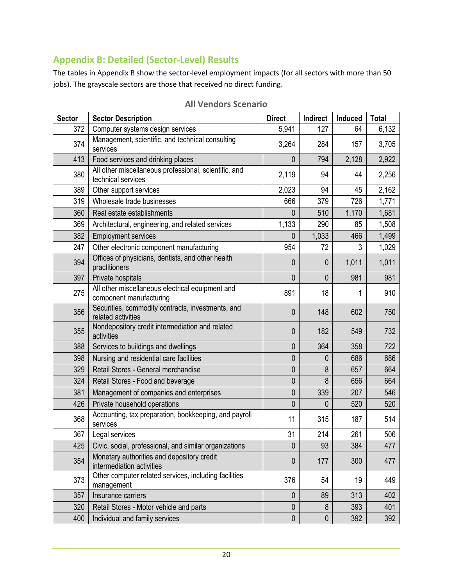# **Appendix B: Detailed (Sector-Level) Results**

The tables in Appendix B show the sector-level employment impacts (for all sectors with more than 50 jobs). The grayscale sectors are those that received no direct funding.

| <b>Sector</b> | <b>Sector Description</b>                                                   | <b>Direct</b> | Indirect     | Induced | <b>Total</b> |
|---------------|-----------------------------------------------------------------------------|---------------|--------------|---------|--------------|
| 372           | Computer systems design services                                            | 5,941         | 127          | 64      | 6,132        |
| 374           | Management, scientific, and technical consulting<br>services                | 3,264         | 284          | 157     | 3,705        |
| 413           | Food services and drinking places                                           | $\mathbf{0}$  | 794          | 2,128   | 2,922        |
| 380           | All other miscellaneous professional, scientific, and<br>technical services | 2,119         | 94           | 44      | 2,256        |
| 389           | Other support services                                                      | 2,023         | 94           | 45      | 2,162        |
| 319           | Wholesale trade businesses                                                  | 666           | 379          | 726     | 1,771        |
| 360           | Real estate establishments                                                  | 0             | 510          | 1,170   | 1,681        |
| 369           | Architectural, engineering, and related services                            | 1,133         | 290          | 85      | 1,508        |
| 382           | <b>Employment services</b>                                                  | 0             | 1,033        | 466     | 1,499        |
| 247           | Other electronic component manufacturing                                    | 954           | 72           | 3       | 1,029        |
| 394           | Offices of physicians, dentists, and other health<br>practitioners          | 0             | $\theta$     | 1,011   | 1,011        |
| 397           | Private hospitals                                                           | 0             | $\mathbf{0}$ | 981     | 981          |
| 275           | All other miscellaneous electrical equipment and<br>component manufacturing | 891           | 18           | 1       | 910          |
| 356           | Securities, commodity contracts, investments, and<br>related activities     | 0             | 148          | 602     | 750          |
| 355           | Nondepository credit intermediation and related<br>activities               | $\mathbf 0$   | 182          | 549     | 732          |
| 388           | Services to buildings and dwellings                                         | 0             | 364          | 358     | 722          |
| 398           | Nursing and residential care facilities                                     | $\pmb{0}$     | 0            | 686     | 686          |
| 329           | Retail Stores - General merchandise                                         | 0             | 8            | 657     | 664          |
| 324           | Retail Stores - Food and beverage                                           | 0             | 8            | 656     | 664          |
| 381           | Management of companies and enterprises                                     | 0             | 339          | 207     | 546          |
| 426           | Private household operations                                                | 0             | 0            | 520     | 520          |
| 368           | Accounting, tax preparation, bookkeeping, and payroll<br>services           | 11            | 315          | 187     | 514          |
| 367           | Legal services                                                              | 31            | 214          | 261     | 506          |
| 425           | Civic, social, professional, and similar organizations                      | $\mathbf 0$   | 93           | 384     | 477          |
| 354           | Monetary authorities and depository credit<br>intermediation activities     | $\mathbf 0$   | 177          | 300     | 477          |
| 373           | Other computer related services, including facilities<br>management         | 376           | 54           | 19      | 449          |
| 357           | Insurance carriers                                                          | $\mathbf 0$   | 89           | 313     | 402          |
| 320           | Retail Stores - Motor vehicle and parts                                     | $\pmb{0}$     | 8            | 393     | 401          |
| 400           | Individual and family services                                              | $\pmb{0}$     | $\mathbf 0$  | 392     | 392          |

**All Vendors Scenario**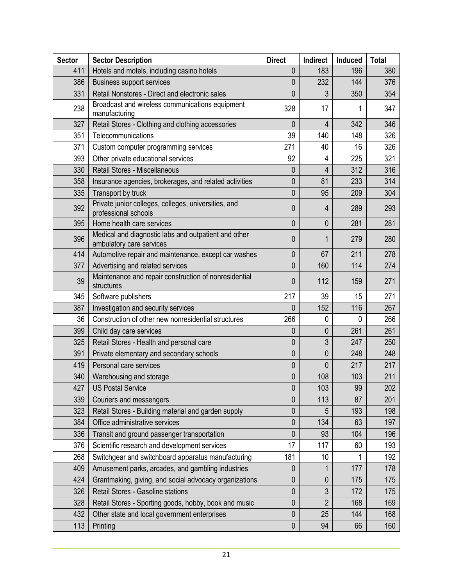| <b>Sector</b> | <b>Sector Description</b>                                                        | <b>Direct</b> | Indirect       | Induced | <b>Total</b> |
|---------------|----------------------------------------------------------------------------------|---------------|----------------|---------|--------------|
| 411           | Hotels and motels, including casino hotels                                       | 0             | 183            | 196     | 380          |
| 386           | <b>Business support services</b>                                                 | 0             | 232            | 144     | 376          |
| 331           | Retail Nonstores - Direct and electronic sales                                   | 0             | 3              | 350     | 354          |
| 238           | Broadcast and wireless communications equipment<br>manufacturing                 | 328           | 17             | 1       | 347          |
| 327           | Retail Stores - Clothing and clothing accessories                                | 0             | $\overline{4}$ | 342     | 346          |
| 351           | Telecommunications                                                               | 39            | 140            | 148     | 326          |
| 371           | Custom computer programming services                                             | 271           | 40             | 16      | 326          |
| 393           | Other private educational services                                               | 92            | 4              | 225     | 321          |
| 330           | Retail Stores - Miscellaneous                                                    | 0             | 4              | 312     | 316          |
| 358           | Insurance agencies, brokerages, and related activities                           | 0             | 81             | 233     | 314          |
| 335           | Transport by truck                                                               | 0             | 95             | 209     | 304          |
| 392           | Private junior colleges, colleges, universities, and<br>professional schools     | 0             | 4              | 289     | 293          |
| 395           | Home health care services                                                        | 0             | 0              | 281     | 281          |
| 396           | Medical and diagnostic labs and outpatient and other<br>ambulatory care services | 0             | 1              | 279     | 280          |
| 414           | Automotive repair and maintenance, except car washes                             | 0             | 67             | 211     | 278          |
| 377           | Advertising and related services                                                 | 0             | 160            | 114     | 274          |
| 39            | Maintenance and repair construction of nonresidential<br>structures              | 0             | 112            | 159     | 271          |
| 345           | Software publishers                                                              | 217           | 39             | 15      | 271          |
| 387           | Investigation and security services                                              | 0             | 152            | 116     | 267          |
| 36            | Construction of other new nonresidential structures                              | 266           | 0              | 0       | 266          |
| 399           | Child day care services                                                          | 0             | $\mathbf{0}$   | 261     | 261          |
| 325           | Retail Stores - Health and personal care                                         | 0             | 3              | 247     | 250          |
| 391           | Private elementary and secondary schools                                         | 0             | $\mathbf 0$    | 248     | 248          |
| 419           | Personal care services                                                           | 0             | 0              | 217     | 217          |
| 340           | Warehousing and storage                                                          | 0             | 108            | 103     | 211          |
| 427           | <b>US Postal Service</b>                                                         | 0             | 103            | 99      | 202          |
| 339           | Couriers and messengers                                                          | 0             | 113            | 87      | 201          |
| 323           | Retail Stores - Building material and garden supply                              | $\mathbf{0}$  | 5              | 193     | 198          |
| 384           | Office administrative services                                                   | 0             | 134            | 63      | 197          |
| 336           | Transit and ground passenger transportation                                      | 0             | 93             | 104     | 196          |
| 376           | Scientific research and development services                                     | 17            | 117            | 60      | 193          |
| 268           | Switchgear and switchboard apparatus manufacturing                               | 181           | 10             |         | 192          |
| 409           | Amusement parks, arcades, and gambling industries                                | 0             | 1              | 177     | 178          |
| 424           | Grantmaking, giving, and social advocacy organizations                           | 0             | $\mathbf{0}$   | 175     | 175          |
| 326           | Retail Stores - Gasoline stations                                                | 0             | 3              | 172     | 175          |
| 328           | Retail Stores - Sporting goods, hobby, book and music                            | 0             | $\overline{2}$ | 168     | 169          |
| 432           | Other state and local government enterprises                                     | 0             | 25             | 144     | 168          |
| 113           | Printing                                                                         | $\pmb{0}$     | 94             | 66      | 160          |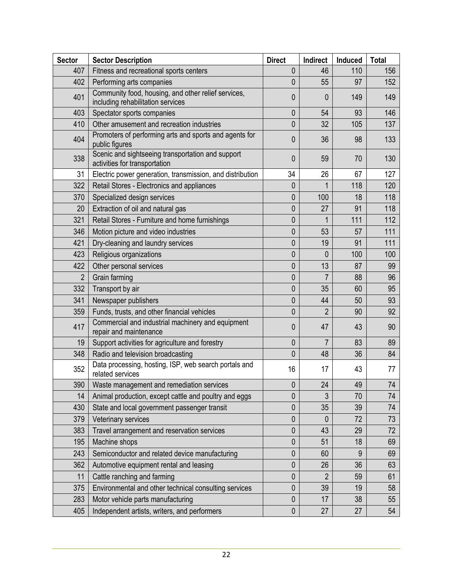| <b>Sector</b>  | <b>Sector Description</b>                                                                | <b>Direct</b> | Indirect       | Induced | <b>Total</b> |
|----------------|------------------------------------------------------------------------------------------|---------------|----------------|---------|--------------|
| 407            | Fitness and recreational sports centers                                                  | 0             | 46             | 110     | 156          |
| 402            | Performing arts companies                                                                | 0             | 55             | 97      | 152          |
| 401            | Community food, housing, and other relief services,<br>including rehabilitation services | 0             | 0              | 149     | 149          |
| 403            | Spectator sports companies                                                               | 0             | 54             | 93      | 146          |
| 410            | Other amusement and recreation industries                                                | 0             | 32             | 105     | 137          |
| 404            | Promoters of performing arts and sports and agents for<br>public figures                 | 0             | 36             | 98      | 133          |
| 338            | Scenic and sightseeing transportation and support<br>activities for transportation       | 0             | 59             | 70      | 130          |
| 31             | Electric power generation, transmission, and distribution                                | 34            | 26             | 67      | 127          |
| 322            | Retail Stores - Electronics and appliances                                               | $\mathbf 0$   | 1              | 118     | 120          |
| 370            | Specialized design services                                                              | 0             | 100            | 18      | 118          |
| 20             | Extraction of oil and natural gas                                                        | 0             | 27             | 91      | 118          |
| 321            | Retail Stores - Furniture and home furnishings                                           | 0             | 1              | 111     | 112          |
| 346            | Motion picture and video industries                                                      | 0             | 53             | 57      | 111          |
| 421            | Dry-cleaning and laundry services                                                        | 0             | 19             | 91      | 111          |
| 423            | Religious organizations                                                                  | 0             | 0              | 100     | 100          |
| 422            | Other personal services                                                                  | 0             | 13             | 87      | 99           |
| $\overline{2}$ | Grain farming                                                                            | 0             | $\overline{7}$ | 88      | 96           |
| 332            | Transport by air                                                                         | 0             | 35             | 60      | 95           |
| 341            | Newspaper publishers                                                                     | 0             | 44             | 50      | 93           |
| 359            | Funds, trusts, and other financial vehicles                                              | 0             | 2              | 90      | 92           |
| 417            | Commercial and industrial machinery and equipment<br>repair and maintenance              | 0             | 47             | 43      | 90           |
| 19             | Support activities for agriculture and forestry                                          | 0             | 7              | 83      | 89           |
| 348            | Radio and television broadcasting                                                        | 0             | 48             | 36      | 84           |
| 352            | Data processing, hosting, ISP, web search portals and<br>related services                | 16            | 17             | 43      | 77           |
| 390            | Waste management and remediation services                                                | $\pmb{0}$     | 24             | 49      | 74           |
| 14             | Animal production, except cattle and poultry and eggs                                    | 0             | 3              | 70      | 74           |
| 430            | State and local government passenger transit                                             | 0             | 35             | 39      | 74           |
| 379            | Veterinary services                                                                      | 0             | $\theta$       | 72      | 73           |
| 383            | Travel arrangement and reservation services                                              | 0             | 43             | 29      | 72           |
| 195            | Machine shops                                                                            | 0             | 51             | 18      | 69           |
| 243            | Semiconductor and related device manufacturing                                           | 0             | 60             | 9       | 69           |
| 362            | Automotive equipment rental and leasing                                                  | 0             | 26             | 36      | 63           |
| 11             | Cattle ranching and farming                                                              | 0             | $\overline{2}$ | 59      | 61           |
| 375            | Environmental and other technical consulting services                                    | 0             | 39             | 19      | 58           |
| 283            | Motor vehicle parts manufacturing                                                        | 0             | 17             | 38      | 55           |
| 405            | Independent artists, writers, and performers                                             | 0             | 27             | 27      | 54           |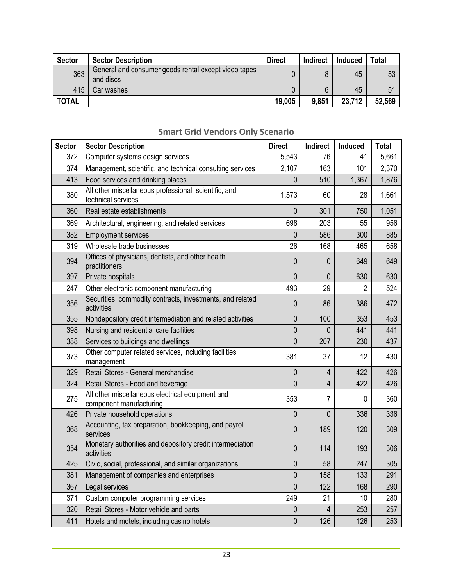| <b>Sector</b> | <b>Sector Description</b>                                         | <b>Direct</b> | <b>Indirect</b> | Induced | <b>Total</b> |
|---------------|-------------------------------------------------------------------|---------------|-----------------|---------|--------------|
| 363           | General and consumer goods rental except video tapes<br>and discs |               |                 | 45      | 53           |
| 415           | Car washes                                                        |               |                 | 45      | 51           |
| <b>TOTAL</b>  |                                                                   | 19,005        | 9,851           | 23,712  | 52,569       |

| <b>Sector</b> | <b>Sector Description</b>                                                   | <b>Direct</b> | Indirect       | Induced        | <b>Total</b> |
|---------------|-----------------------------------------------------------------------------|---------------|----------------|----------------|--------------|
| 372           | Computer systems design services                                            | 5,543         | 76             | 41             | 5,661        |
| 374           | Management, scientific, and technical consulting services                   | 2,107         | 163            | 101            | 2,370        |
| 413           | Food services and drinking places                                           | 0             | 510            | 1,367          | 1,876        |
| 380           | All other miscellaneous professional, scientific, and<br>technical services | 1,573         | 60             | 28             | 1,661        |
| 360           | Real estate establishments                                                  | $\mathbf{0}$  | 301            | 750            | 1,051        |
| 369           | Architectural, engineering, and related services                            | 698           | 203            | 55             | 956          |
| 382           | <b>Employment services</b>                                                  | 0             | 586            | 300            | 885          |
| 319           | Wholesale trade businesses                                                  | 26            | 168            | 465            | 658          |
| 394           | Offices of physicians, dentists, and other health<br>practitioners          | $\mathbf{0}$  | 0              | 649            | 649          |
| 397           | Private hospitals                                                           | $\mathbf{0}$  | 0              | 630            | 630          |
| 247           | Other electronic component manufacturing                                    | 493           | 29             | $\overline{2}$ | 524          |
| 356           | Securities, commodity contracts, investments, and related<br>activities     | $\mathbf{0}$  | 86             | 386            | 472          |
| 355           | Nondepository credit intermediation and related activities                  | 0             | 100            | 353            | 453          |
| 398           | Nursing and residential care facilities                                     | 0             | 0              | 441            | 441          |
| 388           | Services to buildings and dwellings                                         | 0             | 207            | 230            | 437          |
| 373           | Other computer related services, including facilities<br>management         | 381           | 37             | 12             | 430          |
| 329           | Retail Stores - General merchandise                                         | $\mathbf 0$   | $\overline{4}$ | 422            | 426          |
| 324           | Retail Stores - Food and beverage                                           | 0             | $\overline{4}$ | 422            | 426          |
| 275           | All other miscellaneous electrical equipment and<br>component manufacturing | 353           | 7              | 0              | 360          |
| 426           | Private household operations                                                | 0             | 0              | 336            | 336          |
| 368           | Accounting, tax preparation, bookkeeping, and payroll<br>services           | $\mathbf{0}$  | 189            | 120            | 309          |
| 354           | Monetary authorities and depository credit intermediation<br>activities     | $\mathbf 0$   | 114            | 193            | 306          |
| 425           | Civic, social, professional, and similar organizations                      | 0             | 58             | 247            | 305          |
| 381           | Management of companies and enterprises                                     | 0             | 158            | 133            | 291          |
| 367           | Legal services                                                              | $\mathbf{0}$  | 122            | 168            | 290          |
| 371           | Custom computer programming services                                        | 249           | 21             | 10             | 280          |
| 320           | Retail Stores - Motor vehicle and parts                                     | 0             | $\overline{4}$ | 253            | 257          |
| 411           | Hotels and motels, including casino hotels                                  | $\pmb{0}$     | 126            | 126            | 253          |

## **Smart Grid Vendors Only Scenario**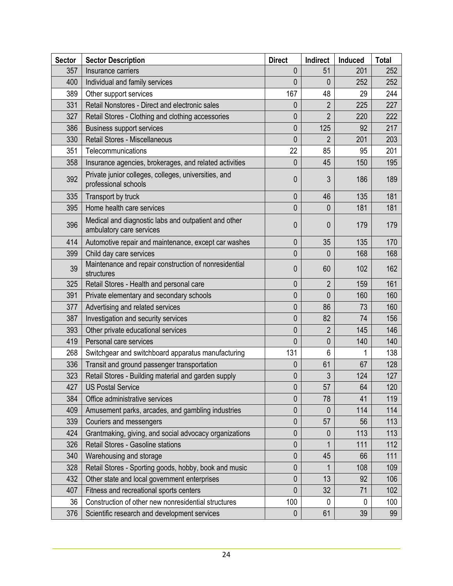| <b>Sector</b> | <b>Sector Description</b>                                                        | <b>Direct</b>  | Indirect       | Induced | <b>Total</b> |
|---------------|----------------------------------------------------------------------------------|----------------|----------------|---------|--------------|
| 357           | Insurance carriers                                                               | 0              | 51             | 201     | 252          |
| 400           | Individual and family services                                                   | 0              | 0              | 252     | 252          |
| 389           | Other support services                                                           | 167            | 48             | 29      | 244          |
| 331           | Retail Nonstores - Direct and electronic sales                                   | 0              | $\overline{2}$ | 225     | 227          |
| 327           | Retail Stores - Clothing and clothing accessories                                | 0              | $\overline{2}$ | 220     | 222          |
| 386           | <b>Business support services</b>                                                 | 0              | 125            | 92      | 217          |
| 330           | Retail Stores - Miscellaneous                                                    | 0              | $\overline{2}$ | 201     | 203          |
| 351           | Telecommunications                                                               | 22             | 85             | 95      | 201          |
| 358           | Insurance agencies, brokerages, and related activities                           | 0              | 45             | 150     | 195          |
| 392           | Private junior colleges, colleges, universities, and<br>professional schools     | 0              | 3              | 186     | 189          |
| 335           | Transport by truck                                                               | $\mathbf 0$    | 46             | 135     | 181          |
| 395           | Home health care services                                                        | 0              | 0              | 181     | 181          |
| 396           | Medical and diagnostic labs and outpatient and other<br>ambulatory care services | 0              | 0              | 179     | 179          |
| 414           | Automotive repair and maintenance, except car washes                             | 0              | 35             | 135     | 170          |
| 399           | Child day care services                                                          | 0              | 0              | 168     | 168          |
| 39            | Maintenance and repair construction of nonresidential<br>structures              | 0              | 60             | 102     | 162          |
| 325           | Retail Stores - Health and personal care                                         | 0              | $\overline{2}$ | 159     | 161          |
| 391           | Private elementary and secondary schools                                         | 0              | 0              | 160     | 160          |
| 377           | Advertising and related services                                                 | 0              | 86             | 73      | 160          |
| 387           | Investigation and security services                                              | 0              | 82             | 74      | 156          |
| 393           | Other private educational services                                               | 0              | $\overline{2}$ | 145     | 146          |
| 419           | Personal care services                                                           | 0              | 0              | 140     | 140          |
| 268           | Switchgear and switchboard apparatus manufacturing                               | 131            | 6              |         | 138          |
| 336           | Transit and ground passenger transportation                                      | 0              | 61             | 67      | 128          |
| 323           | Retail Stores - Building material and garden supply                              | 0              | 3              | 124     | 127          |
| 427           | <b>US Postal Service</b>                                                         | $\overline{0}$ | 57             | 64      | 120          |
| 384           | Office administrative services                                                   | 0              | 78             | 41      | 119          |
| 409           | Amusement parks, arcades, and gambling industries                                | $\pmb{0}$      | 0              | 114     | 114          |
| 339           | Couriers and messengers                                                          | 0              | 57             | 56      | 113          |
| 424           | Grantmaking, giving, and social advocacy organizations                           | $\pmb{0}$      | 0              | 113     | 113          |
| 326           | Retail Stores - Gasoline stations                                                | $\pmb{0}$      |                | 111     | 112          |
| 340           | Warehousing and storage                                                          | 0              | 45             | 66      | 111          |
| 328           | Retail Stores - Sporting goods, hobby, book and music                            | 0              | 1              | 108     | 109          |
| 432           | Other state and local government enterprises                                     | $\mathbf 0$    | 13             | 92      | 106          |
| 407           | Fitness and recreational sports centers                                          | $\mathbf 0$    | 32             | 71      | 102          |
| 36            | Construction of other new nonresidential structures                              | 100            | 0              | 0       | 100          |
| 376           | Scientific research and development services                                     | $\mathbf 0$    | 61             | 39      | 99           |